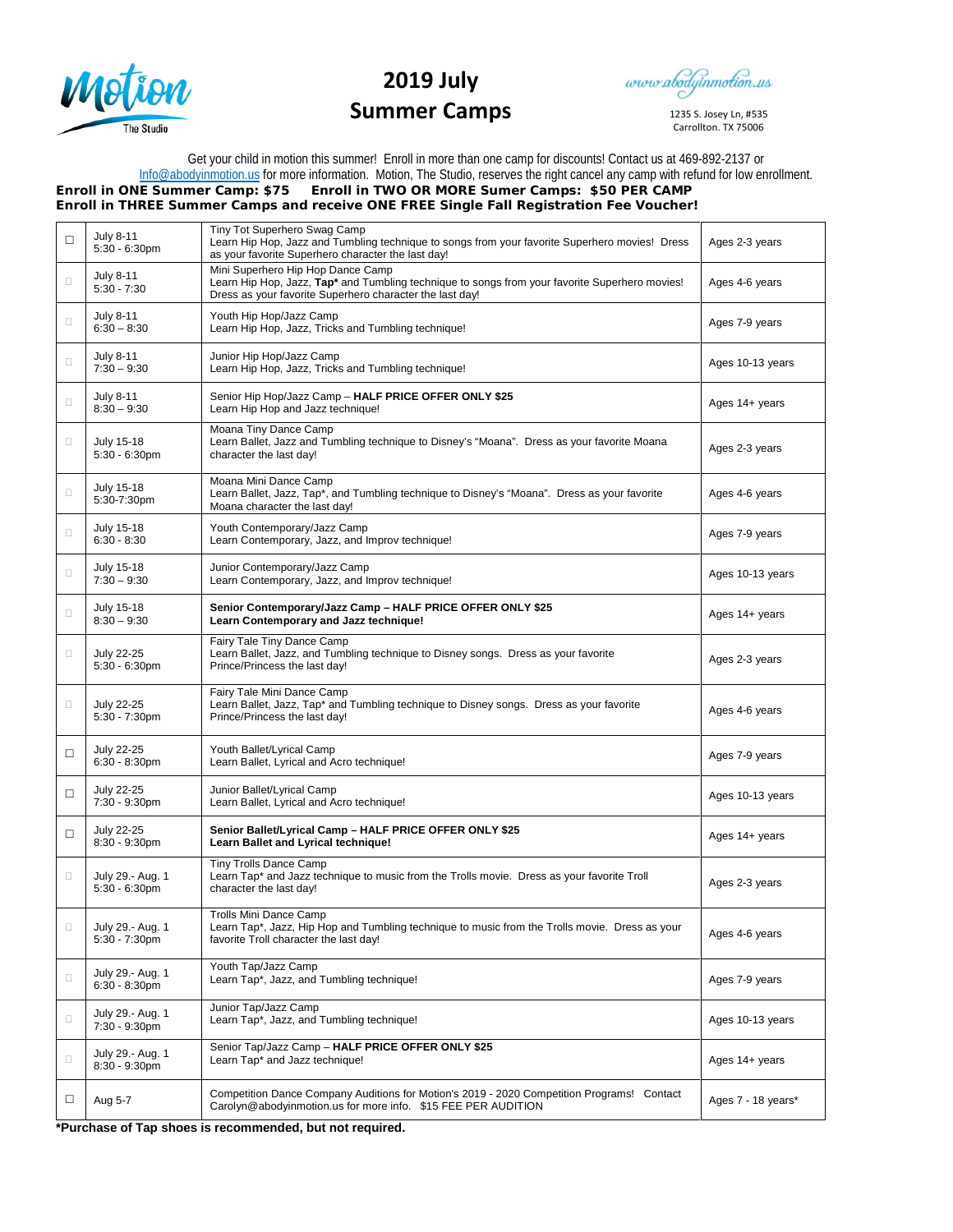

## **2019 July Summer Camps**

www.abodyinmotion.us

1235 S. Josey Ln, #535 Carrollton, TX 75006

Get your child in motion this summer! Enroll in more than one camp for discounts! Contact us at 469-892-2137 or [Info@abodyinmotion.us](mailto:Info@abodyinmotion.us) for more information. Motion, The Studio, reserves the right cancel any camp with refund for low enrollment. **Enroll in ONE Summer Camp: \$75 Enroll in TWO OR MORE Sumer Camps: \$50 PER CAMP**

**Enroll in THREE Summer Camps and receive ONE FREE Single Fall Registration Fee Voucher!**

| □      | <b>July 8-11</b><br>$5:30 - 6:30$ pm  | Tiny Tot Superhero Swag Camp<br>Learn Hip Hop, Jazz and Tumbling technique to songs from your favorite Superhero movies! Dress<br>as your favorite Superhero character the last day!            | Ages 2-3 years     |
|--------|---------------------------------------|-------------------------------------------------------------------------------------------------------------------------------------------------------------------------------------------------|--------------------|
| $\Box$ | July 8-11<br>$5:30 - 7:30$            | Mini Superhero Hip Hop Dance Camp<br>Learn Hip Hop, Jazz, Tap* and Tumbling technique to songs from your favorite Superhero movies!<br>Dress as your favorite Superhero character the last day! | Ages 4-6 years     |
| $\Box$ | <b>July 8-11</b><br>$6:30 - 8:30$     | Youth Hip Hop/Jazz Camp<br>Learn Hip Hop, Jazz, Tricks and Tumbling technique!                                                                                                                  | Ages 7-9 years     |
| $\Box$ | <b>July 8-11</b><br>$7:30 - 9:30$     | Junior Hip Hop/Jazz Camp<br>Learn Hip Hop, Jazz, Tricks and Tumbling technique!                                                                                                                 | Ages 10-13 years   |
| $\Box$ | <b>July 8-11</b><br>$8:30 - 9:30$     | Senior Hip Hop/Jazz Camp - HALF PRICE OFFER ONLY \$25<br>Learn Hip Hop and Jazz technique!                                                                                                      | Ages 14+ years     |
| $\Box$ | July 15-18<br>$5:30 - 6:30$ pm        | Moana Tiny Dance Camp<br>Learn Ballet, Jazz and Tumbling technique to Disney's "Moana". Dress as your favorite Moana<br>character the last day!                                                 | Ages 2-3 years     |
| $\Box$ | July 15-18<br>5:30-7:30pm             | Moana Mini Dance Camp<br>Learn Ballet, Jazz, Tap*, and Tumbling technique to Disney's "Moana". Dress as your favorite<br>Moana character the last day!                                          | Ages 4-6 years     |
| $\Box$ | July 15-18<br>$6:30 - 8:30$           | Youth Contemporary/Jazz Camp<br>Learn Contemporary, Jazz, and Improv technique!                                                                                                                 | Ages 7-9 years     |
| $\Box$ | July 15-18<br>$7:30 - 9:30$           | Junior Contemporary/Jazz Camp<br>Learn Contemporary, Jazz, and Improv technique!                                                                                                                | Ages 10-13 years   |
| $\Box$ | July 15-18<br>$8:30 - 9:30$           | Senior Contemporary/Jazz Camp - HALF PRICE OFFER ONLY \$25<br>Learn Contemporary and Jazz technique!                                                                                            | Ages 14+ years     |
| $\Box$ | July 22-25<br>$5:30 - 6:30$ pm        | Fairy Tale Tiny Dance Camp<br>Learn Ballet, Jazz, and Tumbling technique to Disney songs. Dress as your favorite<br>Prince/Princess the last day!                                               | Ages 2-3 years     |
| $\Box$ | July 22-25<br>5:30 - 7:30pm           | Fairy Tale Mini Dance Camp<br>Learn Ballet, Jazz, Tap* and Tumbling technique to Disney songs. Dress as your favorite<br>Prince/Princess the last day!                                          | Ages 4-6 years     |
| □      | July 22-25<br>$6:30 - 8:30$ pm        | Youth Ballet/Lyrical Camp<br>Learn Ballet, Lyrical and Acro technique!                                                                                                                          | Ages 7-9 years     |
| □      | July 22-25<br>7:30 - 9:30pm           | Junior Ballet/Lyrical Camp<br>Learn Ballet, Lyrical and Acro technique!                                                                                                                         | Ages 10-13 years   |
| □      | July 22-25<br>8:30 - 9:30pm           | Senior Ballet/Lyrical Camp - HALF PRICE OFFER ONLY \$25<br>Learn Ballet and Lyrical technique!                                                                                                  | Ages 14+ years     |
| $\Box$ | July 29 .- Aug. 1<br>$5:30 - 6:30$ pm | Tiny Trolls Dance Camp<br>Learn Tap* and Jazz technique to music from the Trolls movie. Dress as your favorite Troll<br>character the last day!                                                 | Ages 2-3 years     |
| $\Box$ | July 29 .- Aug. 1<br>$5:30 - 7:30$ pm | Trolls Mini Dance Camp<br>Learn Tap*, Jazz, Hip Hop and Tumbling technique to music from the Trolls movie. Dress as your<br>favorite Troll character the last day!                              | Ages 4-6 years     |
| $\Box$ | July 29 - Aug. 1<br>$6:30 - 8:30$ pm  | Youth Tap/Jazz Camp<br>Learn Tap*, Jazz, and Tumbling technique!                                                                                                                                | Ages 7-9 years     |
| $\Box$ | July 29.- Aug. 1<br>7:30 - 9:30pm     | Junior Tap/Jazz Camp<br>Learn Tap*, Jazz, and Tumbling technique!                                                                                                                               | Ages 10-13 years   |
| $\Box$ | July 29 .- Aug. 1<br>8:30 - 9:30pm    | Senior Tap/Jazz Camp - HALF PRICE OFFER ONLY \$25<br>Learn Tap* and Jazz technique!                                                                                                             | Ages 14+ years     |
| □      | Aug 5-7                               | Competition Dance Company Auditions for Motion's 2019 - 2020 Competition Programs! Contact<br>Carolyn@abodyinmotion.us for more info. \$15 FEE PER AUDITION                                     | Ages 7 - 18 years* |

**\*Purchase of Tap shoes is recommended, but not required.**